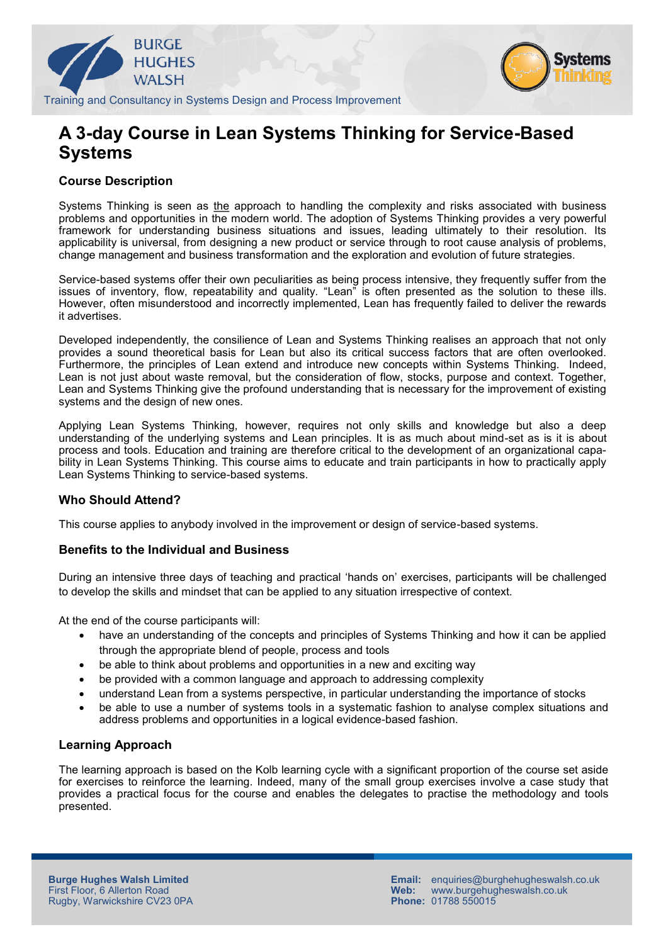



Training and Consultancy in Systems Design and Process Improvement

# **A 3-day Course in Lean Systems Thinking for Service-Based Systems**

# **Course Description**

Systems Thinking is seen as the approach to handling the complexity and risks associated with business problems and opportunities in the modern world. The adoption of Systems Thinking provides a very powerful framework for understanding business situations and issues, leading ultimately to their resolution. Its applicability is universal, from designing a new product or service through to root cause analysis of problems, change management and business transformation and the exploration and evolution of future strategies.

Service-based systems offer their own peculiarities as being process intensive, they frequently suffer from the issues of inventory, flow, repeatability and quality. "Lean" is often presented as the solution to these ills. However, often misunderstood and incorrectly implemented, Lean has frequently failed to deliver the rewards it advertises.

Developed independently, the consilience of Lean and Systems Thinking realises an approach that not only provides a sound theoretical basis for Lean but also its critical success factors that are often overlooked. Furthermore, the principles of Lean extend and introduce new concepts within Systems Thinking. Indeed, Lean is not just about waste removal, but the consideration of flow, stocks, purpose and context. Together, Lean and Systems Thinking give the profound understanding that is necessary for the improvement of existing systems and the design of new ones.

Applying Lean Systems Thinking, however, requires not only skills and knowledge but also a deep understanding of the underlying systems and Lean principles. It is as much about mind-set as is it is about process and tools. Education and training are therefore critical to the development of an organizational capability in Lean Systems Thinking. This course aims to educate and train participants in how to practically apply Lean Systems Thinking to service-based systems.

# **Who Should Attend?**

This course applies to anybody involved in the improvement or design of service-based systems.

# **Benefits to the Individual and Business**

During an intensive three days of teaching and practical 'hands on' exercises, participants will be challenged to develop the skills and mindset that can be applied to any situation irrespective of context.

At the end of the course participants will:

- have an understanding of the concepts and principles of Systems Thinking and how it can be applied through the appropriate blend of people, process and tools
- be able to think about problems and opportunities in a new and exciting way
- be provided with a common language and approach to addressing complexity
- understand Lean from a systems perspective, in particular understanding the importance of stocks
- be able to use a number of systems tools in a systematic fashion to analyse complex situations and address problems and opportunities in a logical evidence-based fashion.

#### **Learning Approach**

The learning approach is based on the Kolb learning cycle with a significant proportion of the course set aside for exercises to reinforce the learning. Indeed, many of the small group exercises involve a case study that provides a practical focus for the course and enables the delegates to practise the methodology and tools presented.